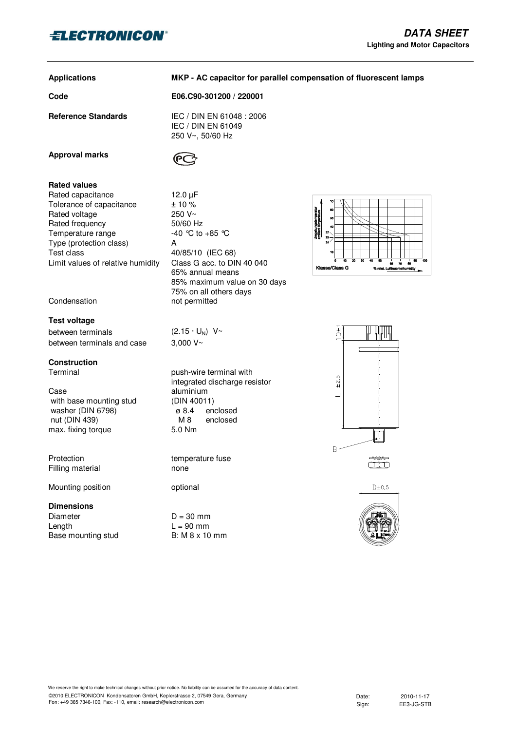

## **Applications**

**MKP - AC capacitor for parallel compensation of fluorescent lamps** 

**Code E06.C90-301200 / 220001**

IEC / DIN EN 61049 250 V~, 50/60 Hz

**Reference Standards** IEC / DIN EN 61048 : 2006



**Rated values** Rated capacitance 12.0 uF Tolerance of capacitance  $\pm 10\%$ <br>Rated voltage 250 V~ Rated voltage Rated frequency 50/60 Hz Temperature range  $-40$  °C to  $+85$  °C Type (protection class) A Test class 40/85/10 (IEC 68) Limit values of relative humidity Class G acc. to DIN 40 040

Condensation not permitted

# **Test voltage**

between terminals  $(2.15 \cdot U_N) V~$ between terminals and case 3,000 V~

# **Construction**

Case aluminium<br>with base mounting stud (DIN 40011) with base mounting stud  $(DIN 40011)$ <br>washer (DIN 6798)  $Q.4$  enclosed washer  $(DIN 6798)$ nut (DIN 439) M 8 enclosed max. fixing torque 5.0 Nm

Filling material none

Mounting position optional

# **Dimensions**

Diameter  $D = 30$  mm Length  $L = 90$  mm<br>Base mounting stud B: M 8 x 10 mm Base mounting stud



65% annual means 85% maximum value on 30 days 75% on all others days

Terminal **Terminal push-wire terminal with** integrated discharge resistor

Protection temperature fuse





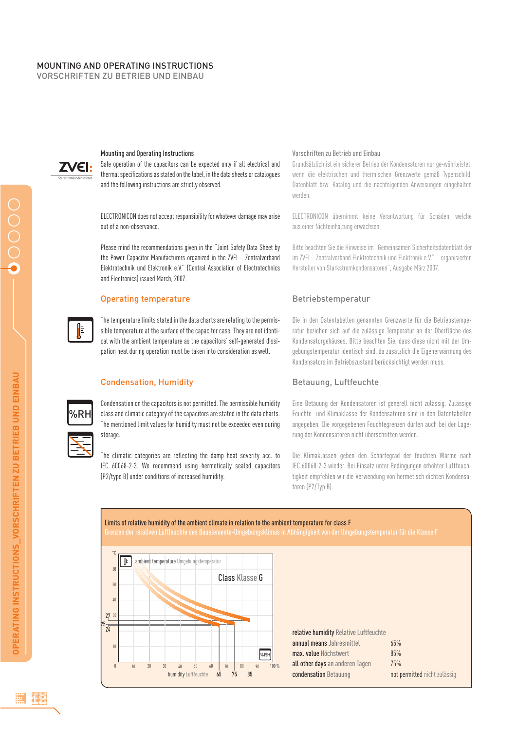# MOUNTING AND OPERATING INSTRUCTIONS

VORSCHRIFTEN ZU BETRIEB UND EINBAU



### Mounting and Operating Instructions

Safe operation of the capacitors can be expected only if all electrical and thermal specifications as stated on the label, in the data sheets or catalogues and the following instructions are strictly observed.

ELECTRONICON does not accept responsibility for whatever damage may arise out of a non-observance.

Please mind the recommendations given in the "Joint Safety Data Sheet by the Power Capacitor Manufacturers organized in the ZVEI – Zentralverband Elektrotechnik und Elektronik e.V." (Central Association of Electrotechnics and Electronics) issued March, 2007.

### Operating temperature

The temperature limits stated in the data charts are relating to the permissible temperature at the surface of the capacitor case. They are not identical with the ambient temperature as the capacitors' self-generated dissipation heat during operation must be taken into consideration as well.

# Condensation, Humidity

%RH

Condensation on the capacitors is not permitted. The permissible humidity class and climatic category of the capacitors are stated in the data charts. The mentioned limit values for humidity must not be exceeded even during storage.

The climatic categories are reflecting the damp heat severity acc. to IEC 60068-2-3. We recommend using hermetically sealed capacitors (P2/type B) under conditions of increased humidity.

#### Vorschriften zu Betrieb und Einbau

Grundsätzlich ist ein sicherer Betrieb der Kondensatoren nur ge-währleistet, wenn die elektrischen und thermischen Grenzwerte gemäß Typenschild, Datenblatt bzw. Katalog und die nachfolgenden Anweisungen eingehalten werden.

ELECTRONICON übernimmt keine Verantwortung für Schäden, welche aus einer Nichteinhaltung erwachsen.

Bitte beachten Sie die Hinweise im "Gemeinsamen Sicherheitsdatenblatt der im ZVEI – Zentralverband Elektrotechnik und Elektronik e.V." – organisierten Hersteller von Starkstromkondensatoren", Ausgabe März 2007.

# Betriebstemperatur

Die in den Datentabellen genannten Grenzwerte für die Betriebstemperatur beziehen sich auf die zulässige Temperatur an der Oberfläche des Kondensatorgehäuses. Bitte beachten Sie, dass diese nicht mit der Umgebungstemperatur identisch sind, da zusätzlich die Eigenerwärmung des Kondensators im Betriebszustand berücksichtigt werden muss.

# Betauung, Luftfeuchte

Eine Betauung der Kondensatoren ist generell nicht zulässig. Zulässige Feuchte- und Klimaklasse der Kondensatoren sind in den Datentabellen angegeben. Die vorgegebenen Feuchtegrenzen dürfen auch bei der Lagerung der Kondensatoren nicht überschritten werden.

Die Klimaklassen geben den Schärfegrad der feuchten Wärme nach IEC 60068-2-3 wieder. Bei Einsatz unter Bedingungen erhöhter Luftfeuchtigkeit empfehlen wir die Verwendung von hermetisch dichten Kondensatoren (P2/Typ B).

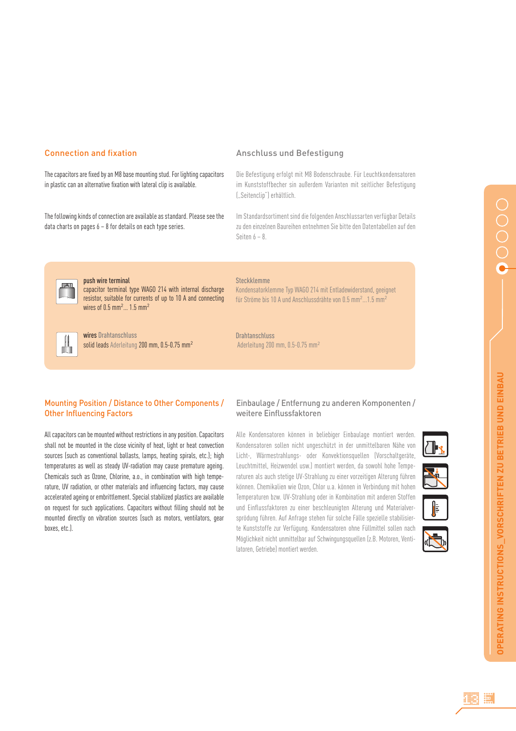# **Connection and fixation**

The capacitors are fixed by an M8 base mounting stud. For lighting capacitors in plastic can an alternative fixation with lateral clip is available.

The following kinds of connection are available as standard. Please see the data charts on pages 6 – 8 for details on each type series.

### Anschluss und Befestigung

Die Befestigung erfolgt mit M8 Bodenschraube. Für Leuchtkondensatoren im Kunststoffbecher sin außerdem Varianten mit seitlicher Befestigung ("Seitenclip") erhältlich.

Im Standardsortiment sind die folgenden Anschlussarten verfügbar Details zu den einzelnen Baureihen entnehmen Sie bitte den Datentabellen auf den Seiten 6 – 8.



#### push wire terminal

capacitor terminal type WAGO 214 with internal discharge resistor, suitable for currents of up to 10 A and connecting wires of  $0.5$  mm<sup>2</sup> $\dots$  1.5 mm<sup>2</sup>



wires Drahtanschluss solid leads Aderleitung 200 mm, 0.5-0.75 mm<sup>2</sup>

### Steckklemme

Kondensatorklemme Typ WAGO 214 mit Entladewiderstand, geeignet für Ströme bis 10 A und Anschlussdrähte von 0.5 mm<sup>2</sup> ...1.5 mm<sup>2</sup>

Drahtanschluss Aderleitung 200 mm, 0.5-0.75 mm<sup>2</sup>

# Mounting Position / Distance to Other Components / **Other Influencing Factors**

All capacitors can be mounted without restrictions in any position. Capacitors shall not be mounted in the close vicinity of heat, light or heat convection sources (such as conventional ballasts, lamps, heating spirals, etc.); high temperatures as well as steady UV-radiation may cause premature ageing. Chemicals such as Ozone, Chlorine, a.o., in combination with high temperature, UV radiation, or other materials and influencing factors, may cause accelerated ageing or embrittlement. Special stabilized plastics are available on request for such applications. Capacitors without filling should not be mounted directly on vibration sources (such as motors, ventilators, gear boxes, etc.).

## Einbaulage / Entfernung zu anderen Komponenten / weitere Einflussfaktoren

Alle Kondensatoren können in beliebiger Einbaulage montiert werden. Kondensatoren sollen nicht ungeschützt in der unmittelbaren Nähe von Licht-, Wärmestrahlungs- oder Konvektionsquellen (Vorschaltgeräte, Leuchtmittel, Heizwendel usw.) montiert werden, da sowohl hohe Temperaturen als auch stetige UV-Strahlung zu einer vorzeitigen Alterung führen können. Chemikalien wie Ozon, Chlor u.a. können in Verbindung mit hohen Temperaturen bzw. UV-Strahlung oder in Kombination mit anderen Stoffen und Einflussfaktoren zu einer beschleunigten Alterung und Materialversprödung führen. Auf Anfrage stehen für solche Fälle spezielle stabilisierte Kunststoffe zur Verfügung. Kondensatoren ohne Füllmittel sollen nach Möglichkeit nicht unmittelbar auf Schwingungsquellen (z.B. Motoren, Ventilatoren, Getriebe) montiert werden.

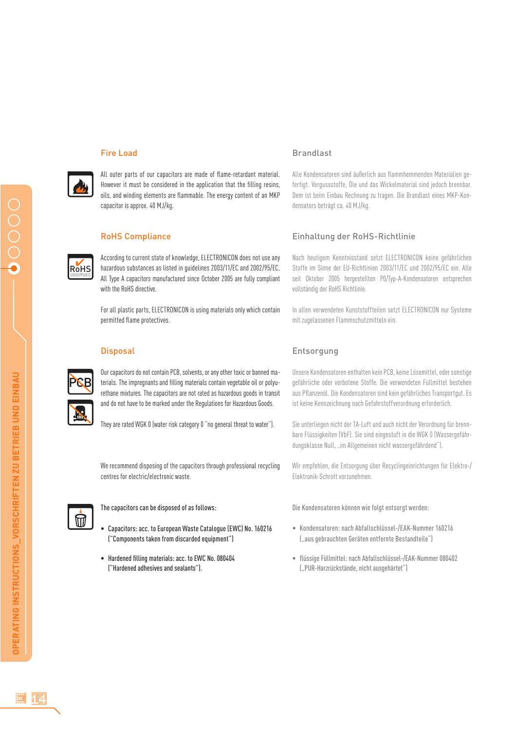#### Fire Load

All outer parts of our capacitors are made of flame-retardant material. However it must be considered in the application that the filling resins, oils, and winding elements are flammable. The energy content of an MKP capacitor is approx. 40 MJ/kg.

### RoHS Compliance

According to current state of knowledge, ELECTRONICON does not use any hazardous substances as listed in guidelines 2003/11/EC and 2002/95/EC. All Type A capacitors manufactured since October 2005 are fully compliant with the RoHS directive.

For all plastic parts, ELECTRONICON is using materials only which contain permitted flame protectives.

### **Disposal**

R<sub>o</sub>H<sub>S</sub> 2002/95/EC

> Our capacitors do not contain PCB, solvents, or any other toxic or banned materials. The impregnants and filling materials contain vegetable oil or polyurethane mixtures. The capacitors are not rated as hazardous goods in transit and do not have to be marked under the Regulations for Hazardous Goods.

They are rated WGK 0 (water risk category 0 "no general threat to water").

We recommend disposing of the capacitors through professional recycling centres for electric/electronic waste.



The capacitors can be disposed of as follows:

- Capacitors: acc. to European Waste Catalogue (EWC) No. 160216 ("Components taken from discarded equipment")
- Hardened filling materials: acc. to FWC No. 080404 ("Hardened adhesives and sealants").

### Brandlast

Alle Kondensatoren sind äußerlich aus flammhemmenden Materialien gefertigt. Vergussstoffe, Öle und das Wickelmaterial sind jedoch brennbar. Dem ist beim Einbau Rechnung zu tragen. Die Brandlast eines MKP-Kondensators beträgt ca. 40 MJ/kg.

### Einhaltung der RoHS-Richtlinie

Nach heutigem Kenntnisstand setzt ELECTRONICON keine gefährlichen Stoffe im Sinne der EU-Richtlinien 2003/11/EC und 2002/95/EC ein. Alle seit Oktober 2005 hergestellten P0/Typ-A-Kondensatoren entsprechen vollständig der RoHS Richtlinie.

In allen verwendeten Kunststoffteilen setzt ELECTRONICON nur Systeme mit zugelassenen Flammschutzmitteln ein.

## Entsorgung

Unsere Kondensatoren enthalten kein PCB, keine Lösemittel, oder sonstige gefährliche oder verbotene Stoffe. Die verwendeten Füllmittel bestehen aus Pflanzenöl. Die Kondensatoren sind kein gefährliches Transportgut. Es ist keine Kennzeichnung nach Gefahrstoffverordnung erforderlich.

Sie unterliegen nicht der TA-Luft und auch nicht der Verordnung für brennbare Flüssigkeiten (VbF). Sie sind eingestuft in die WGK 0 (Wassergefährdungsklasse Null, "im Allgemeinen nicht wassergefährdend").

Wir empfehlen, die Entsorgung über Recyclingeinrichtungen für Elektro-/ Elektronik-Schrott vorzunehmen.

Die Kondensatoren können wie folgt entsorgt werden:

- Kondensatoren: nach Abfallschlüssel-/EAK-Nummer 160216 ("aus gebrauchten Geräten entfernte Bestandteile")
- flüssige Füllmittel: nach Abfallschlüssel-/FAK-Nummer 080402 ("PUR-Harzrückstände, nicht ausgehärtet")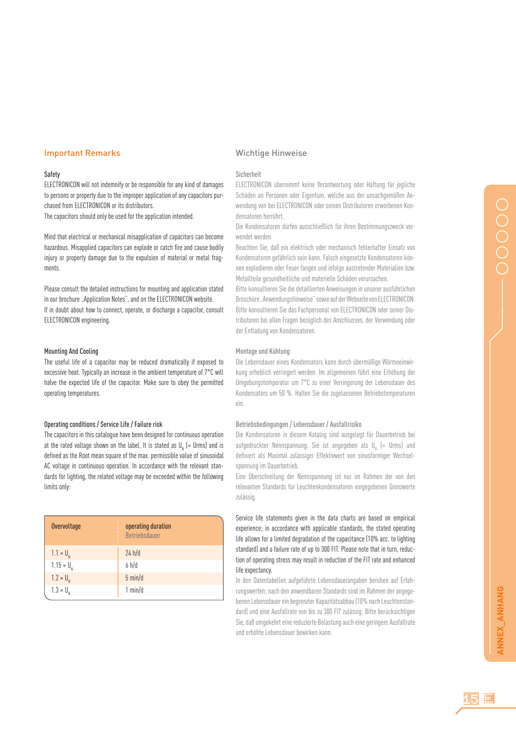# Important Remarks

#### Safety

ELECTRONICON will not indemnify or be responsible for any kind of damages to persons or property due to the improper application of any capacitors purchased from ELECTRONICON or its distributors.

The capacitors should only be used for the application intended.

Mind that electrical or mechanical misapplication of capacitors can become hazardous. Misapplied capacitors can explode or catch fire and cause bodily injury or property damage due to the expulsion of material or metal fragments.

Please consult the detailed instructions for mounting and application stated in our brochure "Application Notes", and on the ELECTRONICON website. If in doubt about how to connect, operate, or discharge a capacitor, consult ELECTRONICON engineering.

### Mounting And Cooling

The useful life of a capacitor may be reduced dramatically if exposed to excessive heat. Typically an increase in the ambient temperature of 7°C will halve the expected life of the capacitor. Make sure to obey the permitted operating temperatures.

#### Operating conditions / Service Life / Failure risk

The capacitors in this catalogue have been designed for continuous operation at the rated voltage shown on the label. It is stated as  $\mathsf{U}_{_{\sf N}}$  (= Urms) and is defined as the Root mean square of the max. permissible value of sinusoidal AC voltage in continuous operation. In accordance with the relevant standards for lighting, the related voltage may be exceeded within the following limits only:

| Overvoltage         | operating duration<br><b>Betriebsdauer</b> |
|---------------------|--------------------------------------------|
| $1.1 \times U_{N}$  | 24 h/d                                     |
| $1.15 \times U_{N}$ | 6 h/d                                      |
| $1.2 \times U_{N}$  | $5 \text{ min/d}$                          |
| $1.3 \times U_{N}$  | 1 min/d                                    |

#### Wichtige Hinweise

#### Sicherheit

ELECTRONICON übernimmt keine Verantwortung oder Haftung für jegliche Schäden an Personen oder Eigentum, welche aus der unsachgemäßen Anwendung von bei ELECTRONICON oder seinen Distributoren erworbenen Kondensatoren herrührt.

Die Kondensatoren dürfen ausschließlich für ihren Bestimmungszweck verwendet werden.

Beachten Sie, daß ein elektrisch oder mechanisch fehlerhafter Einsatz von Kondensatoren gefährlich sein kann. Falsch eingesetzte Kondensatoren können explodieren oder Feuer fangen und infolge austretender Materialien bzw. Metallteile gesundheitliche und materielle Schäden verursachen.

Bitte konsultieren Sie die detaillierten Anweisungen in unserer ausführlichen Broschüre "Anwendungshinweise" sowie auf der Webseite von ELECTRONICON. Bitte konsultieren Sie das Fachpersonal von ELECTRONICON oder seiner Distributoren bei allen Fragen bezüglich des Anschlusses, der Verwendung oder der Entladung von Kondensatoren.

#### Montage und Kühlung

Die Lebensdauer eines Kondensators kann durch übermäßige Wärmeeinwirkung erheblich verringert werden. Im allgemeinen führt eine Erhöhung der Umgebungstemperatur um 7°C zu einer Verringerung der Lebensdauer des Kondensators um 50 %. Halten Sie die zugelassenen Betriebstemperaturen ein.

### Betriebsbedingungen / Lebensdauer / Ausfallrisiko

Die Kondensatoren in diesem Katalog sind ausgelegt für Dauerbetrieb bei aufgedruckter Nennspannung. Sie ist angegeben als U<sub>n</sub> (= Urms) und definiert als Maximal zulässiger Effektivwert von sinusförmiger Wechselspannung im Dauerbetrieb.

Eine Überschreitung der Nennspannung ist nur im Rahmen der von den relevanten Standards für Leuchtenkondensatoren vorgegebenen Grenzwerte zulässig.

Service life statements given in the data charts are based on empirical experience; in accordance with applicable standards, the stated operating life allows for a limited degradation of the capacitance (10% acc. to lighting standard) and a failure rate of up to 300 FIT. Please note that in turn, reduction of operating stress may result in reduction of the FIT rate and enhanced life expectancy.

In den Datentabellen aufgeführte Lebensdauerangaben beruhen auf Erfahrungswerten; nach den anwendbaren Standards sind im Rahmen der angegebenen Lebensdauer ein begrenzter Kapazitätsabbau (10% nach Leuchtenstandard) und eine Ausfallrate von bis zu 300 FIT zulässig. Bitte berücksichtigen Sie, daß umgekehrt eine reduzierte Belastung auch eine geringere Ausfallrate und erhöhte Lebensdauer bewirken kann.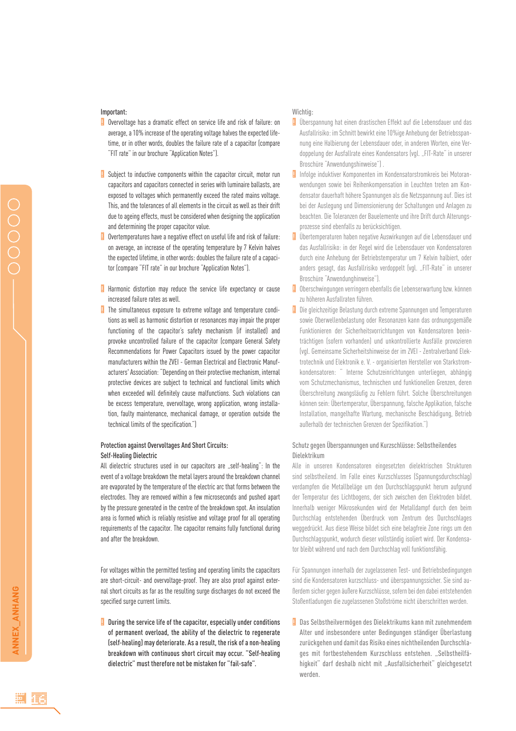#### Important:

- **D** Overvoltage has a dramatic effect on service life and risk of failure: on average, a 10% increase of the operating voltage halves the expected lifetime, or in other words, doubles the failure rate of a capacitor (compare "FIT rate" in our brochure "Application Notes").
- **Subject to inductive components within the capacitor circuit, motor run** capacitors and capacitors connected in series with luminaire ballasts, are exposed to voltages which permanently exceed the rated mains voltage. This, and the tolerances of all elements in the circuit as well as their drift due to ageing effects, must be considered when designing the application and determining the proper capacitor value.
- Overtemperatures have a negative effect on useful life and risk of failure: on average, an increase of the operating temperature by 7 Kelvin halves the expected lifetime, in other words: doubles the failure rate of a capacitor (compare "FIT rate" in our brochure "Application Notes"). !
- Harmonic distortion may reduce the service life expectancy or cause increased failure rates as well.
- **The simultaneous exposure to extreme voltage and temperature condi**tions as well as harmonic distortion or resonances may impair the proper functioning of the capacitor's safety mechanism (if installed) and provoke uncontrolled failure of the capacitor (compare General Safety Recommendations for Power Capacitors issued by the power capacitor manufacturers within the ZVEI - German Electrical and Electronic Manufacturers' Association: "Depending on their protective mechanism, internal protective devices are subject to technical and functional limits which when exceeded will definitely cause malfunctions. Such violations can be excess temperature, overvoltage, wrong application, wrong installation, faulty maintenance, mechanical damage, or operation outside the technical limits of the specification."

### Protection against Overvoltages And Short Circuits: Self-Healing Dielectric

All dielectric structures used in our capacitors are "self-healing": In the event of a voltage breakdown the metal layers around the breakdown channel are evaporated by the temperature of the electric arc that forms between the electrodes. They are removed within a few microseconds and pushed apart by the pressure generated in the centre of the breakdown spot. An insulation area is formed which is reliably resistive and voltage proof for all operating requirements of the capacitor. The capacitor remains fully functional during and after the breakdown.

For voltages within the permitted testing and operating limits the capacitors are short-circuit- and overvoltage-proof. They are also proof against external short circuits as far as the resulting surge discharges do not exceed the specified surge current limits.

 $\Box$  During the service life of the capacitor, especially under conditions of permanent overload, the ability of the dielectric to regenerate (self-healing) may deteriorate. As a result, the risk of a non-healing breakdown with continuous short circuit may occur. "Self-healing dielectric" must therefore not be mistaken for "fail-safe".

### Wichtig:

- **U** Überspannung hat einen drastischen Effekt auf die Lebensdauer und das Ausfallrisiko: im Schnitt bewirkt eine 10%ige Anhebung der Betriebsspannung eine Halbierung der Lebensdauer oder, in anderen Worten, eine Verdoppelung der Ausfallrate eines Kondensators (vgl. "FIT-Rate" in unserer Broschüre "Anwendungshinweise") .
- **In** Infolge induktiver Komponenten im Kondensatorstromkreis bei Motoranwendungen sowie bei Reihenkompensation in Leuchten treten am Kondensator dauerhaft höhere Spannungen als die Netzspannung auf. Dies ist bei der Auslegung und Dimensionierung der Schaltungen und Anlagen zu beachten. Die Toleranzen der Bauelemente und ihre Drift durch Alterungsprozesse sind ebenfalls zu berücksichtigen.
- **U** Übertemperaturen haben negative Auswirkungen auf die Lebensdauer und das Ausfallrisiko: in der Regel wird die Lebensdauer von Kondensatoren durch eine Anhebung der Betriebstemperatur um 7 Kelvin halbiert, oder anders gesagt, das Ausfallrisiko verdoppelt (vgl. "FIT-Rate" in unserer Broschüre "Anwendunghinweise").
- **D** Oberschwingungen verringern ebenfalls die Lebenserwartung bzw. können zu höheren Ausfallraten führen.
- **Die gleichzeitige Belastung durch extreme Spannungen und Temperaturen** sowie Oberwellenbelastung oder Resonanzen kann das ordnungsgemäße Funktionieren der Sicherheitsvorrichtungen von Kondensatoren beeinträchtigen (sofern vorhanden) und unkontrollierte Ausfälle provozieren (vgl. Gemeinsame Sicherheitshinweise der im ZVEI - Zentralverband Elektrotechnik und Elektronik e. V. - organisierten Hersteller von Starkstromkondensatoren: " Interne Schutzeinrichtungen unterliegen, abhängig vom Schutzmechanismus, technischen und funktionellen Grenzen, deren Überschreitung zwangsläufig zu Fehlern führt. Solche Überschreitungen können sein: Übertemperatur, Überspannung, falsche Applikation, falsche Installation, mangelhafte Wartung, mechanische Beschädigung, Betrieb außerhalb der technischen Grenzen der Spezifikation.")

### Schutz gegen Überspannungen und Kurzschlüsse: Selbstheilendes Dielektrikum

Alle in unseren Kondensatoren eingesetzten dielektrischen Strukturen sind selbstheilend. Im Falle eines Kurzschlusses (Spannungsdurchschlag) verdampfen die Metallbeläge um den Durchschlagspunkt herum aufgrund der Temperatur des Lichtbogens, der sich zwischen den Elektroden bildet. Innerhalb weniger Mikrosekunden wird der Metalldampf durch den beim Durchschlag entstehenden Überdruck vom Zentrum des Durchschlages weggedrückt. Aus diese Weise bildet sich eine belagfreie Zone rings um den Durchschlagspunkt, wodurch dieser vollständig isoliert wird. Der Kondensator bleibt während und nach dem Durchschlag voll funktionsfähig.

Für Spannungen innerhalb der zugelassenen Test- und Betriebsbedingungen sind die Kondensatoren kurzschluss- und überspannungssicher. Sie sind außerdem sicher gegen äußere Kurzschlüsse, sofern bei den dabei entstehenden Stoßentladungen die zugelassenen Stoßströme nicht überschritten werden.

! Das Selbstheilvermögen des Dielektrikums kann mit zunehmendem Alter und insbesondere unter Bedingungen ständiger Überlastung zurückgehen und damit das Risiko eines nichtheilenden Durchschlages mit fortbestehendem Kurzschluss entstehen. "Selbstheilfähigkeit" darf deshalb nicht mit "Ausfallsicherheit" gleichgesetzt werden.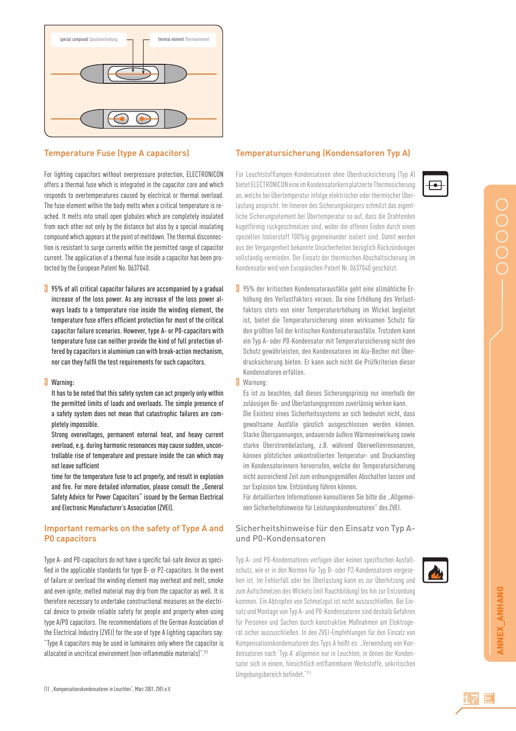

### Temperature Fuse (type A capacitors)

For lighting capacitors without overpressure protection, ELECTRONICON offers a thermal fuse which is integrated in the capacitor core and which responds to overtemperatures caused by electrical or thermal overload. The fuse element within the body melts when a critical temperature is reached. It melts into small open globules which are completely insulated from each other not only by the distance but also by a special insulating compound which appears at the point of meltdown. The thermal disconnection is resistant to surge currents within the permitted range of capacitor current. The application of a thermal fuse inside a capacitor has been protected by the European Patent No. 0637040.

 $\frac{1}{2}$  95% of all critical capacitor failures are accompanied by a gradual increase of the loss power. As any increase of the loss power always leads to a temperature rise inside the winding element, the temperature fuse offers efficient protection for most of the critical capacitor failure scenarios. However, type A- or P0-capacitors with temperature fuse can neither provide the kind of full protection offered by capacitors in aluminium can with break-action mechanism, nor can they fulfil the test requirements for such capacitors.

#### ! Warning:

It has to be noted that this safety system can act properly only within the permitted limits of loads and overloads. The simple presence of a safety system does not mean that catastrophic failures are completely impossible.

Strong overvoltages, permanent external heat, and heavy current overload, e.g. during harmonic resonances may cause sudden, uncontrollable rise of temperature and pressure inside the can which may not leave sufficient

time for the temperature fuse to act properly, and result in explosion and fire. For more detailed information, please consult the "General Safety Advice for Power Capacitors" issued by the German Electrical and Electronic Manufacturer's Association (ZVEI).

# Important remarks on the safety of Type A and P0 capacitors

Type A- and P0-capacitors do not have a specific fail-safe device as specified in the applicable standards for type B- or P2-capacitors. In the event of failure or overload the winding element may overheat and melt, smoke and even ignite; melted material may drip from the capacitor as well. It is therefore necessary to undertake constructional measures on the electrical device to provide reliable safety for people and property when using type A/P0 capacitors. The recommendations of the German Association of the Electrical Industry (ZVEI) for the use of type A lighting capacitors say: "Type A capacitors may be used in luminaires only where the capacitor is allocated in uncritical environment (non-inflammable materials)". $<sup>(1)</sup>$ </sup>

### Temperatursicherung (Kondensatoren Typ A)

Für Leuchtstofflampen-Kondensatoren ohne Überdrucksicherung (Typ A) bietet ELECTRONICON eine im Kondensatorkern platzierte Thermosicherung an, welche bei Übertemperatur infolge elektrischer oder thermischer Überlastung anspricht. Im Inneren des Sicherungskörpers schmilzt das eigentliche Sicherungselement bei Übertemperatur so auf, dass die Drahtenden kugelförmig rückgeschmolzen sind, wobei die offenen Enden durch einen speziellen Isolierstoff 100%ig gegeneinander isoliert sind. Damit werden aus der Vergangenheit bekannte Unsicherheiten bezüglich Rückzündungen vollständig vermieden. Der Einsatz der thermischen Abschaltsicherung im Kondensator wird vom Europäischen Patent Nr. 0637040 geschützt.

! 95% der kritischen Kondensatorausfälle geht eine allmähliche Erhöhung des Verlustfaktors voraus. Da eine Erhöhung des Verlustfaktors stets von einer Temperaturerhöhung im Wickel begleitet ist, bietet die Temperatursicherung einen wirksamen Schutz für den größten Teil der kritischen Kondensatorausfälle. Trotzdem kann ein Typ A- oder P0-Kondensator mit Temperatursicherung nicht den Schutz gewährleisten, den Kondensatoren im Alu-Becher mit Überdrucksicherung bieten. Er kann auch nicht die Prüfkriterien dieser Kondensatoren erfüllen.

#### ! Warnung:

Es ist zu beachten, daß dieses Sicherungsprinzip nur innerhalb der zulässigen Be- und Überlastungsgrenzen zuverlässig wirken kann. Die Existenz eines Sicherheitssystems an sich bedeutet nicht, dass gewaltsame Ausfälle gänzlich ausgeschlossen werden können. Starke Überspannungen, andauernde äußere Wärmeeinwirkung sowie starke Überstrombelastung, z.B. während Oberwellenresonanzen, können plötzlichen unkontrollierten Temperatur- und Druckanstieg im Kondensatorinnern hervorrufen, welche der Temperatursicherung nicht ausreichend Zeit zum ordnungsgemäßen Abschalten lassen und zur Explosion bzw. Entzündung führen können.

Für detailliertere Informationen konsultieren Sie bitte die "Allgemeinen Sicherheitshinweise für Leistungskondensatoren" des ZVEI.

# Sicherheitshinweise für den Einsatz von Typ Aund P0-Kondensatoren

Typ A- und P0-Kondensatoren verfügen über keinen spezifischen Ausfallschutz, wie er in den Normen für Typ B- oder P2-Kondensatoren vorgesehen ist. Im Fehlerfall oder bei Überlastung kann es zur Überhitzung und zum Aufschmelzen des Wickels (mit Rauchbildung) bis hin zur Entzündung kommen. Ein Abtropfen von Schmelzgut ist nicht auszuschließen. Bei Einsatz und Montage von Typ A- und P0-Kondensatoren sind deshalb Gefahren für Personen und Sachen durch konstruktive Maßnahmen am Elektrogerät sicher auszuschließen. In den ZVEI-Empfehlungen für den Einsatz von Kompensationskondensatoren des Typs A heißt es: "Verwendung von Kondensatoren nach 'Typ A' allgemein nur in Leuchten, in denen der Kondensator sich in einem, hinsichtlich entflammbarer Werkstoffe, unkritischen Umgebungsbereich befindet."<sup>(1)</sup>